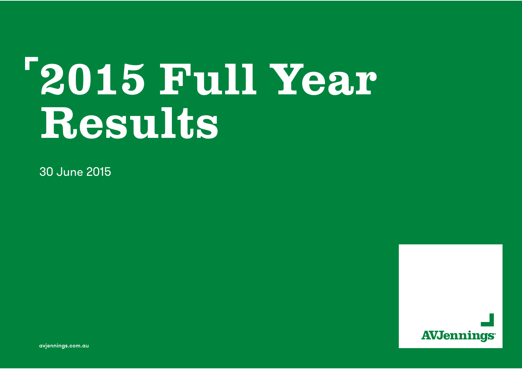# 2015 Full Year Results

30 June 2015



**avjennings.com.au** avjennings.com.au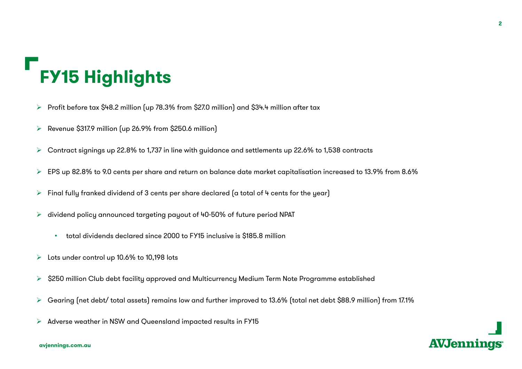## **FY15 Highlights**

- $\blacktriangleright$ Profit before tax \$48.2 million (up 78.3% from \$27.0 million) and \$34.4 million after tax
- $\blacktriangleright$ Revenue \$317.9 million (up 26.9% from \$250.6 million)
- $\blacktriangleright$ Contract signings up 22.8% to 1,737 in line with guidance and settlements up 22.6% to 1,538 contracts
- $\blacktriangleright$ EPS up 82.8% to 9.0 cents per share and return on balance date market capitalisation increased to 13.9% from 8.6%
- $\blacktriangleright$ Final fully franked dividend of 3 cents per share declared (a total of 4 cents for the year)
- ➤ dividend policy announced targeting payout of 40-50% of future period NPAT
	- •total dividends declared since 2000 to FY15 inclusive is \$185.8 million
- ➤ Lots under control up 10.6% to 10,198 lots
- $\blacktriangleright$ \$250 million Club debt facility approved and Multicurrency Medium Term Note Programme established
- $\blacktriangleright$ Gearing (net debt/ total assets) remains low and further improved to 13.6% (total net debt \$88.9 million) from 17.1%
- $\blacktriangleright$ Adverse weather in NSW and Queensland impacted results in FY15



**AVJennings**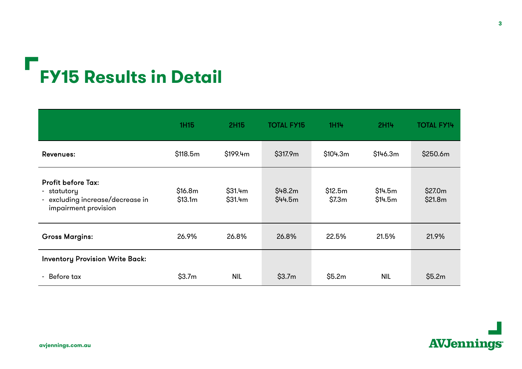## **FY15 Results in Detail**

|                                                                                                      | 1H15               | <b>2H15</b>        | <b>TOTAL FY15</b>    | 1H14              | 2H14               | <b>TOTAL FY14</b>  |
|------------------------------------------------------------------------------------------------------|--------------------|--------------------|----------------------|-------------------|--------------------|--------------------|
| <b>Revenues:</b>                                                                                     | \$118.5m           | \$199.4m           | \$317.9m             | \$104.3m          | \$146.3m           | \$250.6m           |
| <b>Profit before Tax:</b><br>- statutory<br>- excluding increase/decrease in<br>impairment provision | \$16.8m<br>\$13.1m | \$31.4m<br>\$31.4m | \$48.2m\$<br>\$44.5m | \$12.5m<br>\$7.3m | \$14.5m<br>\$14.5m | \$27.0m<br>\$21.8m |
| <b>Gross Margins:</b>                                                                                | 26.9%              | 26.8%              | 26.8%                | 22.5%             | 21.5%              | 21.9%              |
| <b>Inventory Provision Write Back:</b>                                                               |                    |                    |                      |                   |                    |                    |
| - Before tax                                                                                         | \$3.7m             | <b>NIL</b>         | \$3.7m               | \$5.2m            | <b>NIL</b>         | \$5.2m             |

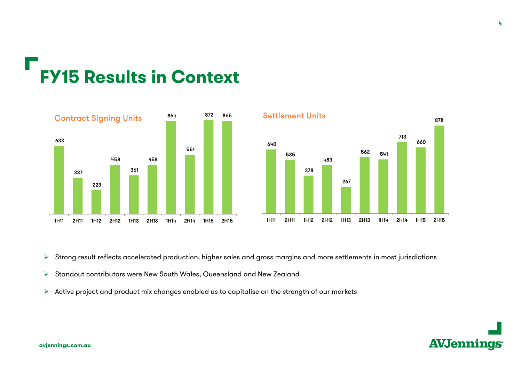## **FY15 Results in Context**





➤ Strong result reflects accelerated production, higher sales and gross margins and more settlements in most jurisdictions

- $\blacktriangleright$ Standout contributors were New South Wales, Queensland and New Zealand
- $\blacktriangleright$ Active project and product mix changes enabled us to capitalise on the strength of our markets

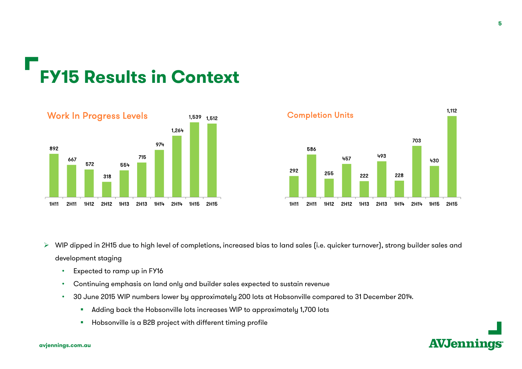## **FY15 Results in Context**





- $\blacktriangleright$  WIP dipped in 2H15 due to high level of completions, increased bias to land sales (i.e. quicker turnover), strong builder sales and development staging
	- •Expected to ramp up in FY16
	- •Continuing emphasis on land only and builder sales expected to sustain revenue
	- • 30 June 2015 WIP numbers lower by approximately 200 lots at Hobsonville compared to 31 December 2014.
		- $\blacksquare$ Adding back the Hobsonville lots increases WIP to approximately 1,700 lots
		- $\quad \blacksquare$  Hobsonville is a B2B project with different timing profile



#### **avjennings.com.au**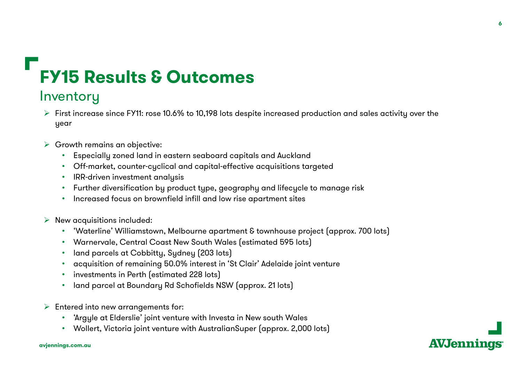### **FY15 Results & Outcomes**

#### **Inventory**

- $\triangleright$  First increase since FY11: rose 10.6% to 10,198 lots despite increased production and sales activity over the year
- $\triangleright$  Growth remains an objective:
	- Especially zoned land in eastern seaboard capitals and Auckland
	- Off-market, counter-cyclical and capital-effective acquisitions targeted
	- IRR-driven investment analysis
	- Further diversification by product type, geography and lifecycle to manage risk
	- •Increased focus on brownfield infill and low rise apartment sites
- $\triangleright$  New acquisitions included:
	- 'Waterline' Williamstown, Melbourne apartment & townhouse project (approx. 700 lots)
	- Warnervale, Central Coast New South Wales (estimated 595 lots)
	- •land parcels at Cobbitty, Sydney (203 lots)
	- acquisition of remaining 50.0% interest in 'St Clair' Adelaide joint venture
	- investments in Perth (estimated 228 lots)
	- land parcel at Boundary Rd Schofields NSW (approx. 21 lots)
- $\triangleright$  Entered into new arrangements for:
	- 'Argyle at Elderslie' joint venture with Investa in New south Wales
	- Wollert, Victoria joint venture with AustralianSuper (approx. 2,000 lots)

**AVJennings**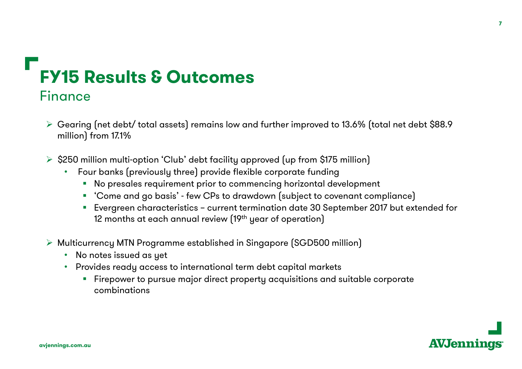### **FY15 Results & Outcomes**Finance

- $\triangleright$  Gearing (net debt/ total assets) remains low and further improved to 13.6% (total net debt \$88.9 million) from 17.1%
- $\triangleright$  \$250 million multi-option 'Club' debt facility approved (up from \$175 million)
	- Four banks (previously three) provide flexible corporate funding
		- No presales requirement prior to commencing horizontal development
		- 'Come and go basis' few CPs to drawdown (subject to covenant compliance)
		- Evergreen characteristics current termination date 30 September 2017 but extended for 12 months at each annual review (19th year of operation)
- Multicurrency MTN Programme established in Singapore (SGD500 million)
	- No notes issued as yet
	- Provides ready access to international term debt capital markets
		- $\textcolor{red}{\bullet}$  Firepower to pursue major direct property acquisitions and suitable corporate combinations

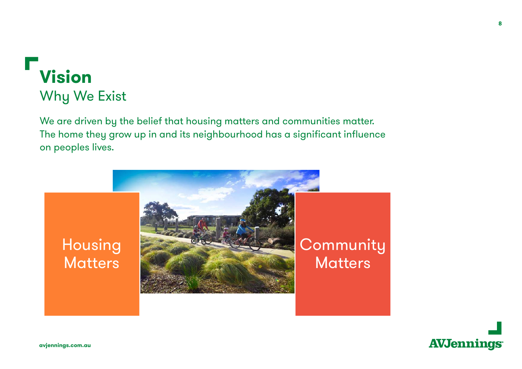## Why We Exist **Vision**

We are driven by the belief that housing matters and communities matter. The home they grow up in and its neighbourhood has a significant influence on peoples lives.





**8**

**avjennings.com.au**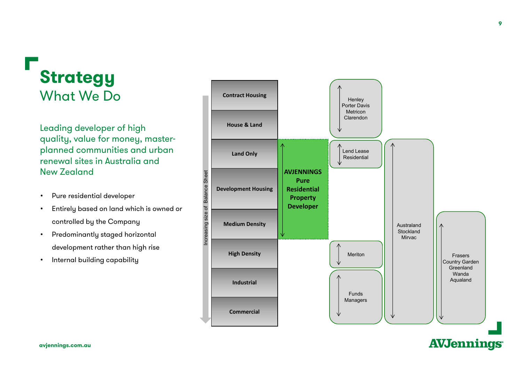#### What We Do**Strategy**

Leading developer of high quality, value for money, masterplanned communities and urban renewal sites in Australia and New Zealand

- •Pure residential developer
- • Entirely based on land which is owned or controlled by the Company
- • Predominantly staged horizontal development rather than high rise
- •Internal building capability



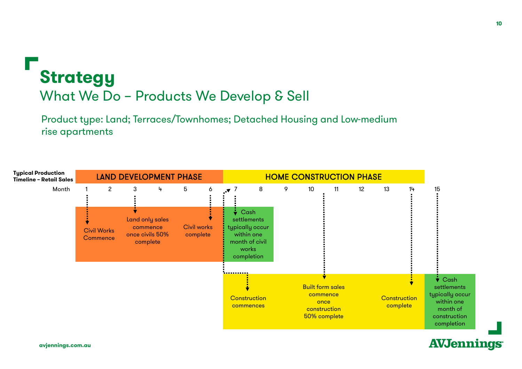

Product type: Land; Terraces/Townhomes; Detached Housing and Low-medium rise apartments

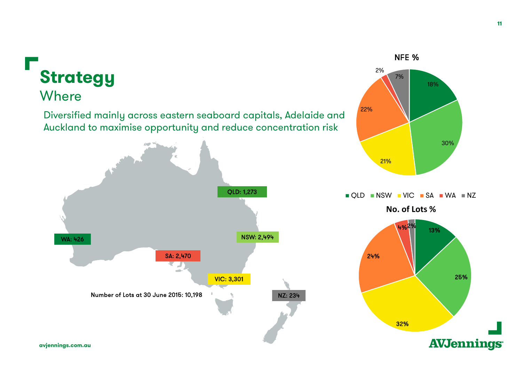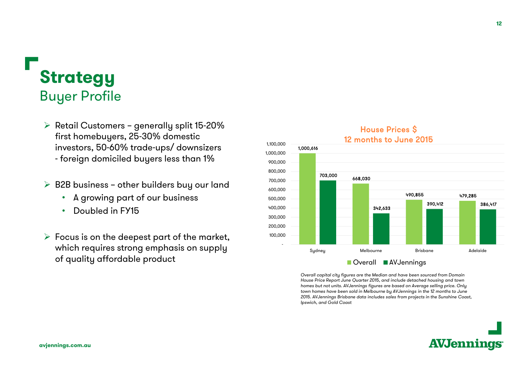### **Strategy** Buyer Profile

- $\triangleright$  Retail Customers generally split 15-20% first homebuyers, 25-30% domestic investors, 50-60% trade-ups/ downsizers - foreign domiciled buyers less than 1%
- $\triangleright$  B2B business other builders buy our land
	- A growing part of our business
	- •Doubled in FY15
- $\triangleright$  Focus is on the deepest part of the market, which requires strong emphasis on supply of quality affordable product



Overall capital city figures are the Median and have been sourced from Domain House Price Report June Quarter 2015, and include detached housing and town homes but not units. AVJennings figures are based on Average selling price. Only town homes have been sold in Melbourne by AVJennings in the 12 months to June 2015. AVJennings Brisbane data includes sales from projects in the Sunshine Coast, Ipswich, and Gold Coast

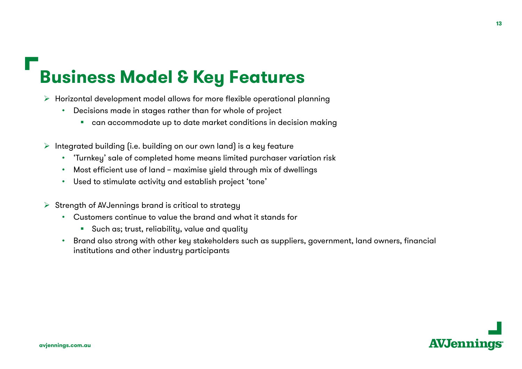#### **Business Model & Key Features**

- $\triangleright$  Horizontal development model allows for more flexible operational planning
	- Decisions made in stages rather than for whole of project
		- can accommodate up to date market conditions in decision making
- $\triangleright$  Integrated building (i.e. building on our own land) is a key feature
	- 'Turnkey' sale of completed home means limited purchaser variation risk
	- Most efficient use of land maximise yield through mix of dwellings
	- Used to stimulate activity and establish project 'tone'
- $\triangleright$  Strength of AVJennings brand is critical to strategy
	- Customers continue to value the brand and what it stands for
		- $\textcolor{black}{\bullet}\quad$  Such as; trust, reliability, value and quality
	- Brand also strong with other key stakeholders such as suppliers, government, land owners, financial institutions and other industry participants

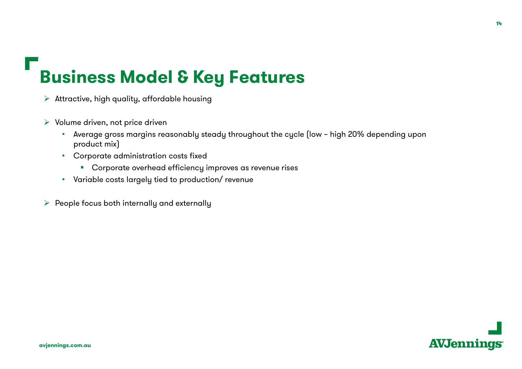#### **Business Model & Key Features**

- $\triangleright$  Attractive, high quality, affordable housing
- $\triangleright$  Volume driven, not price driven
	- Average gross margins reasonably steady throughout the cycle (low high 20% depending upon product mix)
	- Corporate administration costs fixed
		- Corporate overhead efficiency improves as revenue rises
	- Variable costs largely tied to production/ revenue
- $\triangleright$  People focus both internally and externally

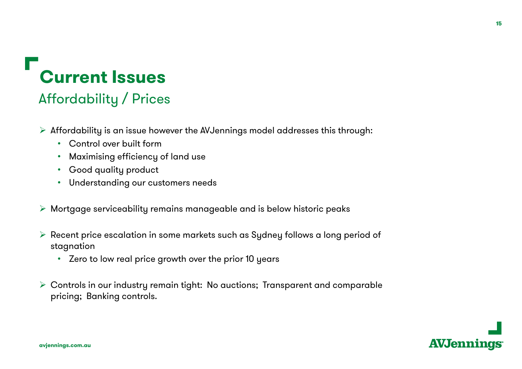## **Current Issues**

#### Affordability / Prices

- $\triangleright$  Affordability is an issue however the AVJennings model addresses this through:
	- Control over built form
	- $\bullet$ Maximising efficiency of land use
	- Good quality product
	- Understanding our customers needs
- $\triangleright$  Mortgage serviceability remains manageable and is below historic peaks
- $\triangleright$  Recent price escalation in some markets such as Sydney follows a long period of stagnation
	- Zero to low real price growth over the prior 10 years
- Controls in our industry remain tight: No auctions; Transparent and comparable pricing; Banking controls.

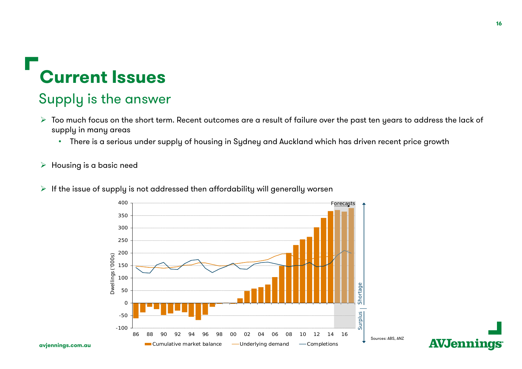#### **Current Issues**

#### Supply is the answer

- $\blacktriangleright$  Too much focus on the short term. Recent outcomes are a result of failure over the past ten years to address the lack of supply in many areas
	- There is a serious under supply of housing in Sydney and Auckland which has driven recent price growth
- $\blacktriangleright$ Housing is a basic need
- $\blacktriangleright$  If the issue of supply is not addressed then affordability will generally worsen

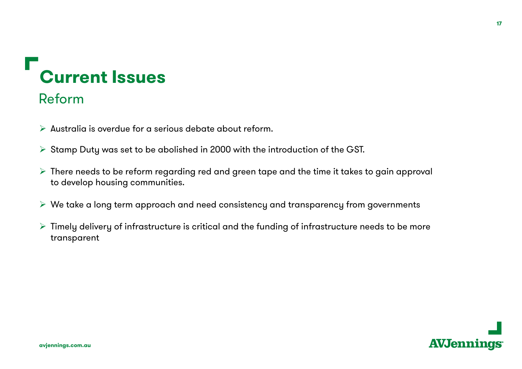## **Current Issues**

#### Reform

- $\triangleright$  Australia is overdue for a serious debate about reform.
- $\triangleright$  Stamp Duty was set to be abolished in 2000 with the introduction of the GST.
- $\triangleright$  There needs to be reform regarding red and green tape and the time it takes to gain approval to develop housing communities.
- $\triangleright$  We take a long term approach and need consistency and transparency from governments
- $\triangleright$  Timely delivery of infrastructure is critical and the funding of infrastructure needs to be more transparent

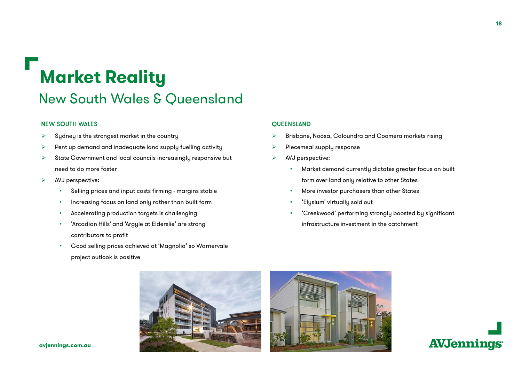#### **Market Reality**

#### New South Wales & Queensland

#### NEW SOUTH WALES

- ➤ Sydney is the strongest market in the country
- $\blacktriangleright$ Pent up demand and inadequate land supply fuelling activity
- $\blacktriangleright$  State Government and local councils increasingly responsive but need to do more faster
- $\blacktriangleright$  AVJ perspective:
	- •Selling prices and input costs firming - margins stable
	- •Increasing focus on land only rather than built form
	- •Accelerating production targets is challenging
	- • 'Arcadian Hills' and 'Argyle at Elderslie' are strong contributors to profit
	- • Good selling prices achieved at 'Magnolia' so Warnervale project outlook is positive

#### **OUEENSLAND**

- ⋗ Brisbane, Noosa, Caloundra and Coomera markets rising
- $\blacktriangleright$ Piecemeal supply response
- $\triangleright$  AVJ perspective:
	- • Market demand currently dictates greater focus on built form over land only relative to other States
	- •More investor purchasers than other States
	- 'Elysium' virtually sold out
	- 'Creekwood' performing strongly boosted by significant infrastructure investment in the catchment





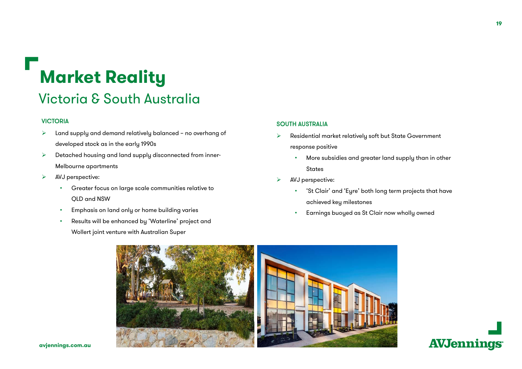## **Market Reality**

#### Victoria & South Australia

#### VICTORIA

- $\blacktriangleright$  Land supply and demand relatively balanced – no overhang of developed stock as in the early 1990s
- $\blacktriangleright$  Detached housing and land supply disconnected from inner-Melbourne apartments
- $\blacktriangleright$  AVJ perspective:
	- • Greater focus on large scale communities relative to QLD and NSW
	- •Emphasis on land only or home building varies
	- • Results will be enhanced by 'Waterline' project and Wollert joint venture with Australian Super

#### SOUTH AUSTRALIA

- ➤ Residential market relatively soft but State Government response positive
	- • More subsidies and greater land supply than in other States
- ⋗ AVJ perspective:
	- 'St Clair' and 'Eyre' both long term projects that have achieved key milestones
	- Earnings buoyed as St Clair now wholly owned



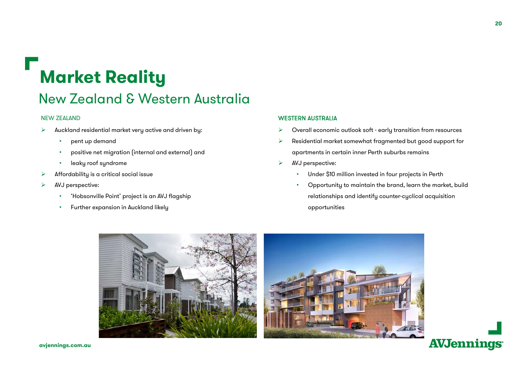## **Market Reality**

#### New Zealand & Western Australia

#### NEW ZEALAND

- ⋗ Auckland residential market very active and driven by:
	- •pent up demand
	- •positive net migration (internal and external) and
	- •leaky roof syndrome
- ⋗ Affordability is a critical social issue
- ➤ AVJ perspective:
	- •'Hobsonville Point' project is an AVJ flagship
	- •Further expansion in Auckland likely

#### WESTERN AUSTRALIA

⋗ Overall economic outlook soft - early transition from resources

- ⋗ Residential market somewhat fragmented but good support for apartments in certain inner Perth suburbs remains
- $\blacktriangleright$  AVJ perspective:
	- •Under \$10 million invested in four projects in Perth
	- • Opportunity to maintain the brand, learn the market, build relationships and identify counter-cyclical acquisition opportunities



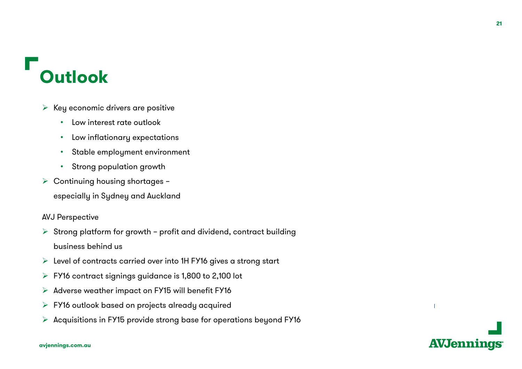### **Outlook**

- $\blacktriangleright$  Key economic drivers are positive
	- •Low interest rate outlook
	- •Low inflationary expectations
	- •Stable employment environment
	- •Strong population growth
- ▶ Continuing housing shortages –
	- especially in Sydney and Auckland

#### AVJ Perspective

- $\triangleright$  Strong platform for growth profit and dividend, contract building business behind us
- $\triangleright$  Level of contracts carried over into 1H FY16 gives a strong start
- $\triangleright$  FY16 contract signings guidance is 1,800 to 2,100 lot
- ➤ Adverse weather impact on FY15 will benefit FY16
- ➤ FY16 outlook based on projects already acquired
- $\blacktriangleright$ Acquisitions in FY15 provide strong base for operations beyond FY16



#### **avjennings.com.au**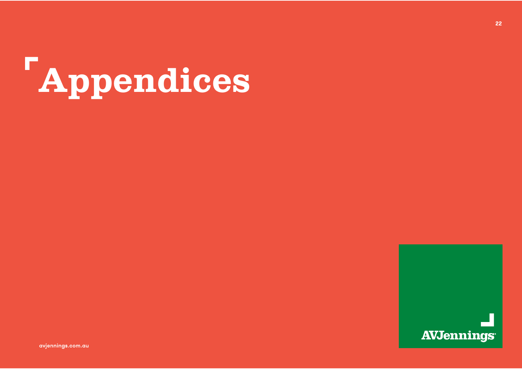



avjennings.com.au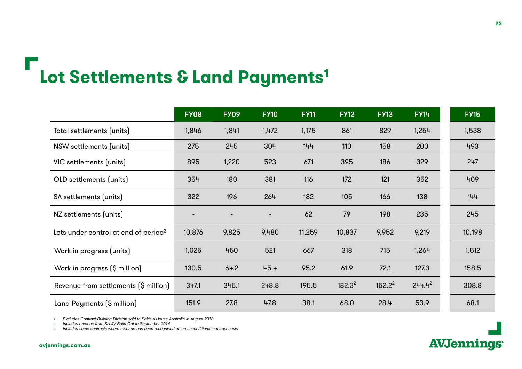## **Lot Settlements & Land Payments1**

|                                                  | <b>FY08</b> | <b>FY09</b> | <b>FY10</b> | <b>FY11</b> | <b>FY12</b> | <b>FY13</b> | <b>FY14</b> | <b>FY15</b> |
|--------------------------------------------------|-------------|-------------|-------------|-------------|-------------|-------------|-------------|-------------|
| Total settlements (units)                        | 1,846       | 1,841       | 1,472       | 1,175       | 861         | 829         | 1,254       | 1,538       |
| NSW settlements (units)                          | 275         | 245         | 304         | 144         | 110         | 158         | 200         | 493         |
| VIC settlements (units)                          | 895         | 1,220       | 523         | 671         | 395         | 186         | 329         | 247         |
| QLD settlements (units)                          | 354         | 180         | 381         | 116         | 172         | 121         | 352         | 409         |
| SA settlements (units)                           | 322         | 196         | 264         | 182         | 105         | 166         | 138         | 144         |
| NZ settlements (units)                           |             |             |             | 62          | 79          | 198         | 235         | 245         |
| Lots under control at end of period <sup>3</sup> | 10,876      | 9,825       | 9,480       | 11,259      | 10,837      | 9,952       | 9,219       | 10,198      |
| Work in progress (units)                         | 1,025       | 450         | 521         | 667         | 318         | 715         | 1,264       | 1,512       |
| Work in progress (\$ million)                    | 130.5       | 64.2        | 45.4        | 95.2        | 61.9        | 72.1        | 127.3       | 158.5       |
| Revenue from settlements (\$ million)            | 347.1       | 345.1       | 248.8       | 195.5       | $182.3^2$   | $152.2^2$   | $244.4^{2}$ | 308.8       |
| Land Payments (\$ million)                       | 151.9       | 27.8        | 47.8        | 38.1        | 68.0        | 28.4        | 53.9        | 68.1        |

*1. Excludes Contract Building Division sold to Sekisui House Australia in August 2010* 

*2. Includes revenue from SA JV Build Out to September 2014*

*3.Includes some contracts where revenue has been recognised on an unconditional contract basis*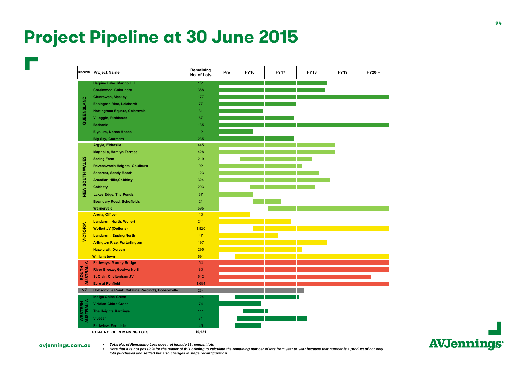#### **Project Pipeline at 30 June 2015**



**AVJennings** 

**avjennings.com.au**

•

• *Total No. of Remaining Lots does not include 18 remnant lots*

 *Note that it is not possible for the reader of this briefing to calculate the remaining number of lots from year to year because that number is a product of not only lots purchased and settled but also changes in stage reconfiguration*